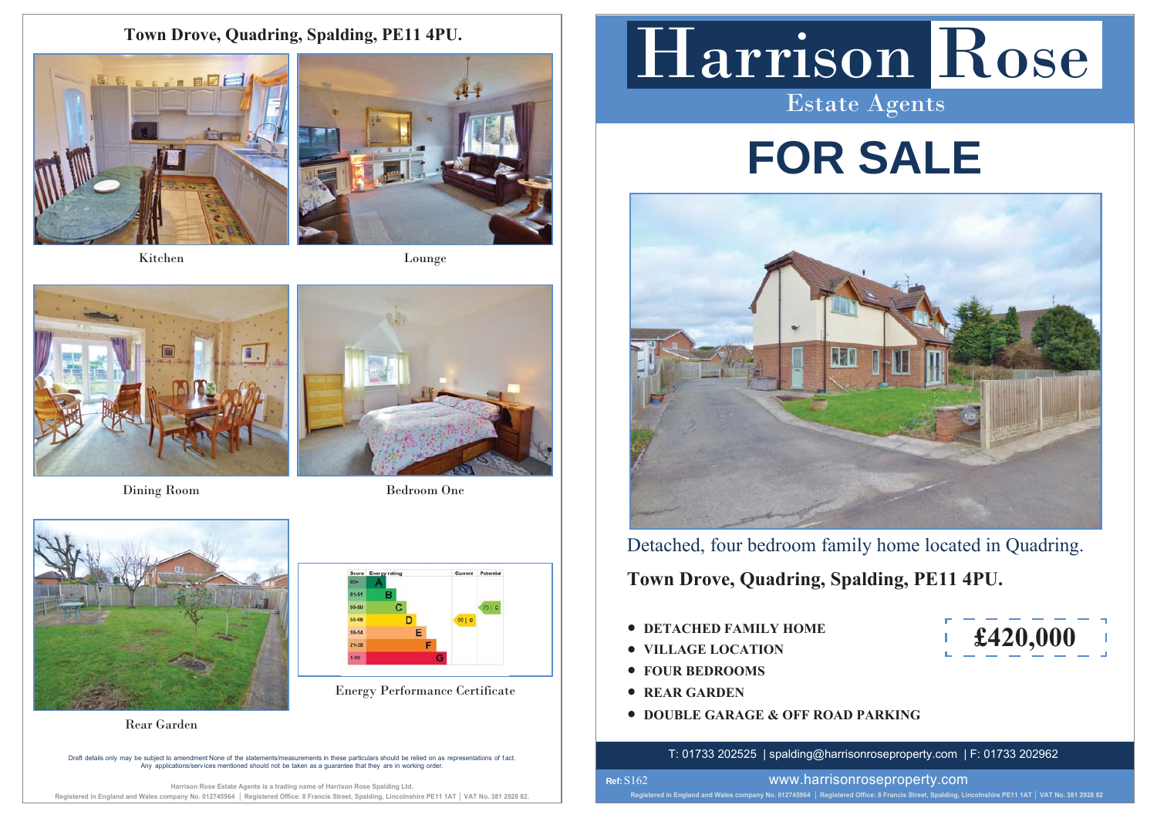**Town Drove, Quadring, Spalding, PE11 4PU.**



Kitchen



Lounge



Dining Room Bedroom One



Energy Performance Certificate



**Rear Garden** 

Draft details only may be subiect to amendment None of the statements/measurements in these particulars should be relied on as representations of fact. A DURING AND DISSOLVITION CONSIDERED IN THE CONSIDERATION OF DETAILS AND A DISPONSIBLE STATES OF LIGHT DUPLAR<br>Any applications/services mentioned should not be taken as a quarantee that they are in working order

Harrison Rose Estate Agents is a trading name of Harrison Rose Spalding Ltd. Registered in England and Wales company No. 012745964 | Registered Office: 8 Francis Street, Spalding, Lincolnshire PE11 1AT | VAT No. 381 2928 82

# Harrison Rose

Estate Agents

# **FOR SALE**



Detached, four bedroom family home located in Quadring.

**Town Drove, Quadring, Spalding, PE11 4PU.**

- **DETACHED FAMILY HOME**
- t**VILLAGE LOCATION**
- **FOUR BEDROOMS**
- $\bullet$
- **DOUBLE GARAGE & OFF ROAD PARKING**  $\Gamma$ Rear Garden

T: 01733 202525 | spalding@harrisonroseproperty.com | F: 01733 202962



www.harrisonroseproperty.com

Registered in England and Wales company No. 012745964 | Registered Office: 8 Francis Street, Spalding, Lincolnshire PE11 1AT | VAT No. 381 2928 82